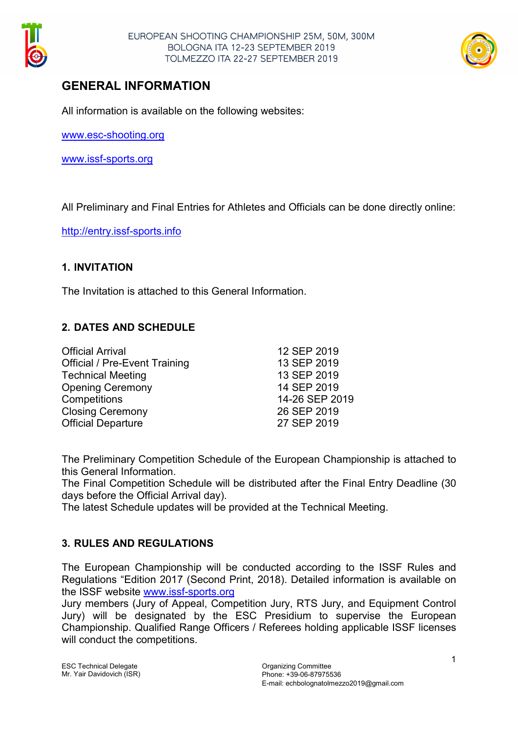



# GENERAL INFORMATION

All information is available on the following websites:

www.esc-shooting.org

www.issf-sports.org

All Preliminary and Final Entries for Athletes and Officials can be done directly online:

http://entry.issf-sports.info

### 1. INVITATION

The Invitation is attached to this General Information.

## 2. DATES AND SCHEDULE

| <b>Official Arrival</b>              | 12 SEP 2019    |
|--------------------------------------|----------------|
| <b>Official / Pre-Event Training</b> | 13 SEP 2019    |
| <b>Technical Meeting</b>             | 13 SEP 2019    |
| <b>Opening Ceremony</b>              | 14 SEP 2019    |
| Competitions                         | 14-26 SEP 2019 |
| <b>Closing Ceremony</b>              | 26 SEP 2019    |
| <b>Official Departure</b>            | 27 SEP 2019    |
|                                      |                |

The Preliminary Competition Schedule of the European Championship is attached to this General Information.

The Final Competition Schedule will be distributed after the Final Entry Deadline (30 days before the Official Arrival day).

The latest Schedule updates will be provided at the Technical Meeting.

## 3. RULES AND REGULATIONS

The European Championship will be conducted according to the ISSF Rules and Regulations "Edition 2017 (Second Print, 2018). Detailed information is available on the ISSF website www.issf-sports.org

Jury members (Jury of Appeal, Competition Jury, RTS Jury, and Equipment Control Jury) will be designated by the ESC Presidium to supervise the European Championship. Qualified Range Officers / Referees holding applicable ISSF licenses will conduct the competitions.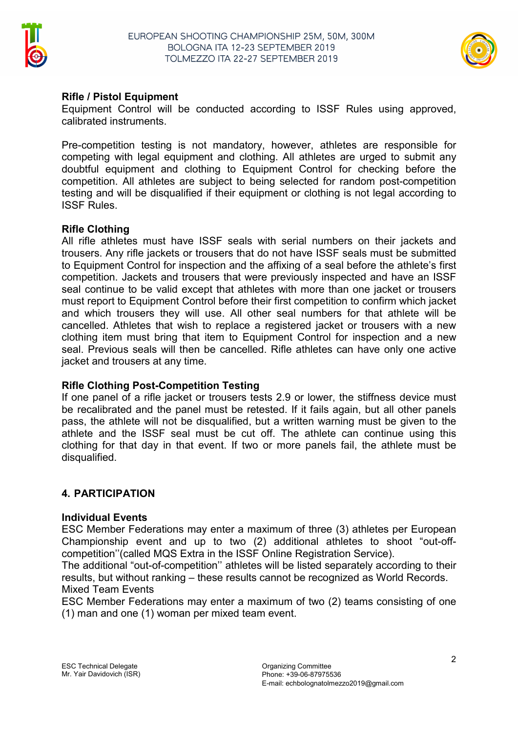



## Rifle / Pistol Equipment

Equipment Control will be conducted according to ISSF Rules using approved, calibrated instruments.

Pre-competition testing is not mandatory, however, athletes are responsible for competing with legal equipment and clothing. All athletes are urged to submit any doubtful equipment and clothing to Equipment Control for checking before the competition. All athletes are subject to being selected for random post-competition testing and will be disqualified if their equipment or clothing is not legal according to ISSF Rules.

### Rifle Clothing

All rifle athletes must have ISSF seals with serial numbers on their jackets and trousers. Any rifle jackets or trousers that do not have ISSF seals must be submitted to Equipment Control for inspection and the affixing of a seal before the athlete's first competition. Jackets and trousers that were previously inspected and have an ISSF seal continue to be valid except that athletes with more than one jacket or trousers must report to Equipment Control before their first competition to confirm which jacket and which trousers they will use. All other seal numbers for that athlete will be cancelled. Athletes that wish to replace a registered jacket or trousers with a new clothing item must bring that item to Equipment Control for inspection and a new seal. Previous seals will then be cancelled. Rifle athletes can have only one active jacket and trousers at any time.

## Rifle Clothing Post-Competition Testing

If one panel of a rifle jacket or trousers tests 2.9 or lower, the stiffness device must be recalibrated and the panel must be retested. If it fails again, but all other panels pass, the athlete will not be disqualified, but a written warning must be given to the athlete and the ISSF seal must be cut off. The athlete can continue using this clothing for that day in that event. If two or more panels fail, the athlete must be disqualified.

## 4. PARTICIPATION

#### Individual Events

ESC Member Federations may enter a maximum of three (3) athletes per European Championship event and up to two (2) additional athletes to shoot "out-offcompetition''(called MQS Extra in the ISSF Online Registration Service).

The additional "out-of-competition'' athletes will be listed separately according to their results, but without ranking – these results cannot be recognized as World Records. Mixed Team Events

ESC Member Federations may enter a maximum of two (2) teams consisting of one (1) man and one (1) woman per mixed team event.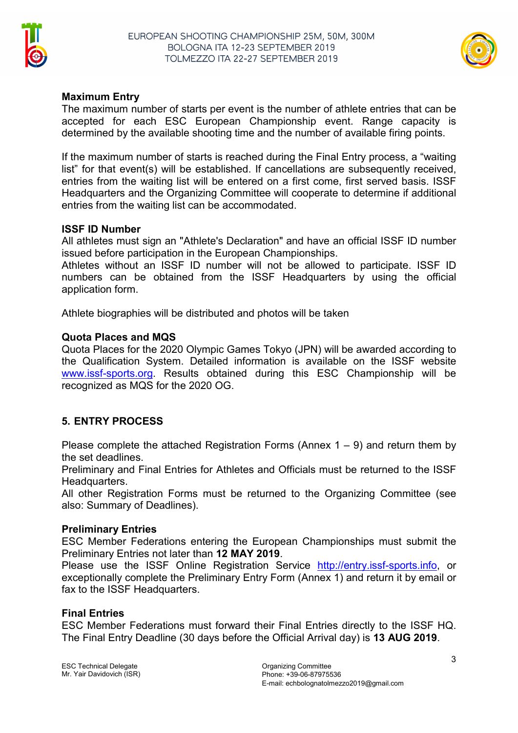



#### Maximum Entry

The maximum number of starts per event is the number of athlete entries that can be accepted for each ESC European Championship event. Range capacity is determined by the available shooting time and the number of available firing points.

If the maximum number of starts is reached during the Final Entry process, a "waiting list" for that event(s) will be established. If cancellations are subsequently received, entries from the waiting list will be entered on a first come, first served basis. ISSF Headquarters and the Organizing Committee will cooperate to determine if additional entries from the waiting list can be accommodated.

#### ISSF ID Number

All athletes must sign an "Athlete's Declaration" and have an official ISSF ID number issued before participation in the European Championships.

Athletes without an ISSF ID number will not be allowed to participate. ISSF ID numbers can be obtained from the ISSF Headquarters by using the official application form.

Athlete biographies will be distributed and photos will be taken

#### Quota Places and MQS

Quota Places for the 2020 Olympic Games Tokyo (JPN) will be awarded according to the Qualification System. Detailed information is available on the ISSF website www.issf-sports.org. Results obtained during this ESC Championship will be recognized as MQS for the 2020 OG.

## 5. ENTRY PROCESS

Please complete the attached Registration Forms (Annex  $1 - 9$ ) and return them by the set deadlines.

Preliminary and Final Entries for Athletes and Officials must be returned to the ISSF Headquarters.

All other Registration Forms must be returned to the Organizing Committee (see also: Summary of Deadlines).

#### Preliminary Entries

ESC Member Federations entering the European Championships must submit the Preliminary Entries not later than 12 MAY 2019.

Please use the ISSF Online Registration Service http://entry.issf-sports.info, or exceptionally complete the Preliminary Entry Form (Annex 1) and return it by email or fax to the ISSF Headquarters.

#### Final Entries

ESC Member Federations must forward their Final Entries directly to the ISSF HQ. The Final Entry Deadline (30 days before the Official Arrival day) is 13 AUG 2019.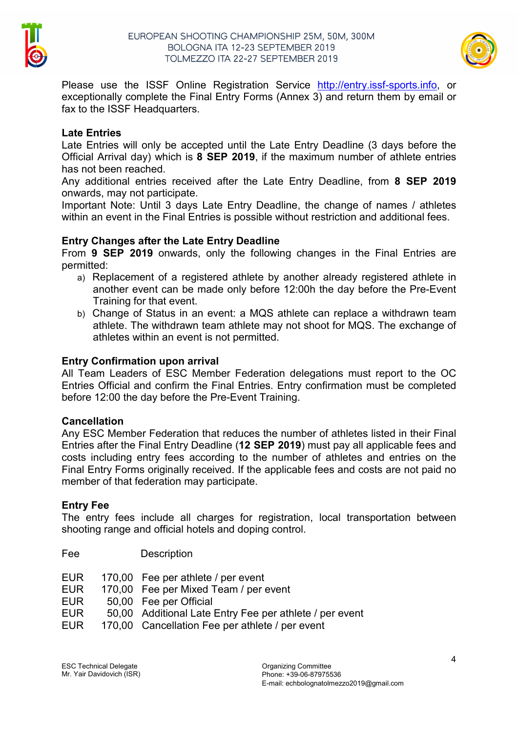



Please use the ISSF Online Registration Service http://entry.issf-sports.info, or exceptionally complete the Final Entry Forms (Annex 3) and return them by email or fax to the ISSF Headquarters.

#### Late Entries

Late Entries will only be accepted until the Late Entry Deadline (3 days before the Official Arrival day) which is 8 SEP 2019, if the maximum number of athlete entries has not been reached.

Any additional entries received after the Late Entry Deadline, from 8 SEP 2019 onwards, may not participate.

Important Note: Until 3 days Late Entry Deadline, the change of names / athletes within an event in the Final Entries is possible without restriction and additional fees.

### Entry Changes after the Late Entry Deadline

From 9 SEP 2019 onwards, only the following changes in the Final Entries are permitted:

- a) Replacement of a registered athlete by another already registered athlete in another event can be made only before 12:00h the day before the Pre-Event Training for that event.
- b) Change of Status in an event: a MQS athlete can replace a withdrawn team athlete. The withdrawn team athlete may not shoot for MQS. The exchange of athletes within an event is not permitted.

### Entry Confirmation upon arrival

All Team Leaders of ESC Member Federation delegations must report to the OC Entries Official and confirm the Final Entries. Entry confirmation must be completed before 12:00 the day before the Pre-Event Training.

#### **Cancellation**

Any ESC Member Federation that reduces the number of athletes listed in their Final Entries after the Final Entry Deadline (12 SEP 2019) must pay all applicable fees and costs including entry fees according to the number of athletes and entries on the Final Entry Forms originally received. If the applicable fees and costs are not paid no member of that federation may participate.

#### Entry Fee

Fee Description

The entry fees include all charges for registration, local transportation between shooting range and official hotels and doping control.

| ree  | <b>Description</b>                                      |
|------|---------------------------------------------------------|
| EUR. | 170,00 Fee per athlete / per event                      |
| EUR. | 170,00 Fee per Mixed Team / per event                   |
| EUR. | 50,00 Fee per Official                                  |
| EUR. | 50,00 Additional Late Entry Fee per athlete / per event |
| EUR. | 170,00 Cancellation Fee per athlete / per event         |
|      |                                                         |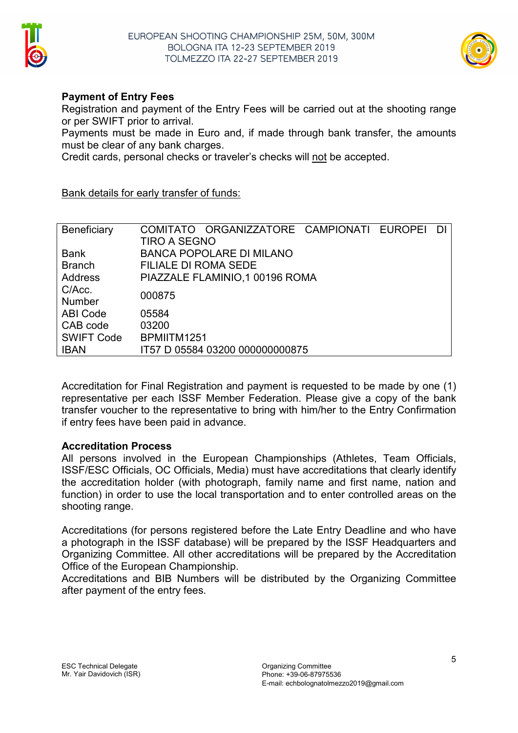



## Payment of Entry Fees

Registration and payment of the Entry Fees will be carried out at the shooting range or per SWIFT prior to arrival.

Payments must be made in Euro and, if made through bank transfer, the amounts must be clear of any bank charges.

Credit cards, personal checks or traveler's checks will not be accepted.

#### Bank details for early transfer of funds:

| Beneficiary       | COMITATO ORGANIZZATORE CAMPIONATI EUROPEI<br>DI |  |
|-------------------|-------------------------------------------------|--|
|                   | TIRO A SEGNO                                    |  |
| Bank              | <b>BANCA POPOLARE DI MILANO</b>                 |  |
| <b>Branch</b>     | <b>FILIALE DI ROMA SEDE</b>                     |  |
| <b>Address</b>    | PIAZZALE FLAMINIO, 1 00196 ROMA                 |  |
| C/Acc.            | 000875                                          |  |
| <b>Number</b>     |                                                 |  |
| <b>ABI Code</b>   | 05584                                           |  |
| CAB code          | 03200                                           |  |
| <b>SWIFT Code</b> | BPMIITM1251                                     |  |
| <b>IBAN</b>       | IT57 D 05584 03200 000000000875                 |  |

Accreditation for Final Registration and payment is requested to be made by one (1) representative per each ISSF Member Federation. Please give a copy of the bank transfer voucher to the representative to bring with him/her to the Entry Confirmation if entry fees have been paid in advance.

#### Accreditation Process

All persons involved in the European Championships (Athletes, Team Officials, ISSF/ESC Officials, OC Officials, Media) must have accreditations that clearly identify the accreditation holder (with photograph, family name and first name, nation and function) in order to use the local transportation and to enter controlled areas on the shooting range.

Accreditations (for persons registered before the Late Entry Deadline and who have a photograph in the ISSF database) will be prepared by the ISSF Headquarters and Organizing Committee. All other accreditations will be prepared by the Accreditation Office of the European Championship.

Accreditations and BIB Numbers will be distributed by the Organizing Committee after payment of the entry fees.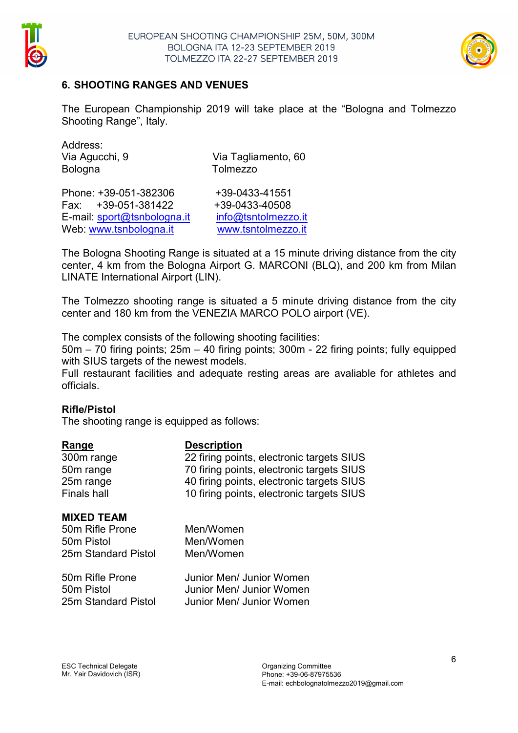



## 6. SHOOTING RANGES AND VENUES

The European Championship 2019 will take place at the "Bologna and Tolmezzo Shooting Range", Italy.

| Address:       |  |
|----------------|--|
| Via Agucchi, 9 |  |
| <b>Bologna</b> |  |

P Via Tagliamento, 60 Tolmezzo

Phone: +39-051-382306 +39-0433-41551 Fax: +39-051-381422 +39-0433-40508 E-mail: sport@tsnbologna.it info@tsntolmezzo.it Web: www.tsnbologna.it www.tsntolmezzo.it

The Bologna Shooting Range is situated at a 15 minute driving distance from the city center, 4 km from the Bologna Airport G. MARCONI (BLQ), and 200 km from Milan LINATE International Airport (LIN).

The Tolmezzo shooting range is situated a 5 minute driving distance from the city center and 180 km from the VENEZIA MARCO POLO airport (VE).

The complex consists of the following shooting facilities:

50m – 70 firing points; 25m – 40 firing points; 300m - 22 firing points; fully equipped with SIUS targets of the newest models.

Full restaurant facilities and adequate resting areas are avaliable for athletes and officials.

#### Rifle/Pistol

The shooting range is equipped as follows:

| <u>Range</u>                                                              | <b>Description</b>                        |
|---------------------------------------------------------------------------|-------------------------------------------|
| 300m range                                                                | 22 firing points, electronic targets SIUS |
| 50m range                                                                 | 70 firing points, electronic targets SIUS |
| 25m range                                                                 | 40 firing points, electronic targets SIUS |
| <b>Finals hall</b>                                                        | 10 firing points, electronic targets SIUS |
| <b>MIXED TEAM</b><br>50m Rifle Prone<br>50m Pistol<br>25m Standard Pistol | Men/Women<br>Men/Women<br>Men/Women       |
| 50m Rifle Prone                                                           | Junior Men/ Junior Women                  |
| 50m Pistol                                                                | Junior Men/ Junior Women                  |
| 25m Standard Pistol                                                       | Junior Men/ Junior Women                  |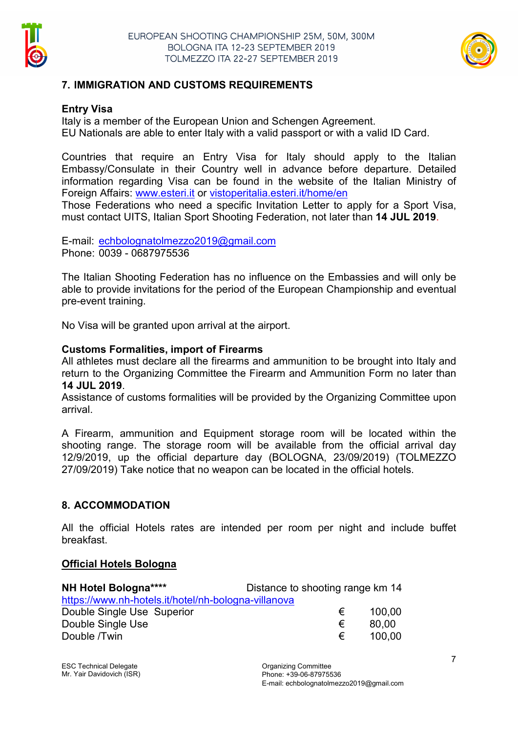



## 7. IMMIGRATION AND CUSTOMS REQUIREMENTS

#### Entry Visa

Italy is a member of the European Union and Schengen Agreement. EU Nationals are able to enter Italy with a valid passport or with a valid ID Card.

Countries that require an Entry Visa for Italy should apply to the Italian Embassy/Consulate in their Country well in advance before departure. Detailed information regarding Visa can be found in the website of the Italian Ministry of Foreign Affairs: www.esteri.it or vistoperitalia.esteri.it/home/en

Those Federations who need a specific Invitation Letter to apply for a Sport Visa, must contact UITS, Italian Sport Shooting Federation, not later than 14 JUL 2019.

E-mail: echbolognatolmezzo2019@gmail.com Phone: 0039 - 0687975536

The Italian Shooting Federation has no influence on the Embassies and will only be able to provide invitations for the period of the European Championship and eventual pre-event training.

No Visa will be granted upon arrival at the airport.

#### Customs Formalities, import of Firearms

All athletes must declare all the firearms and ammunition to be brought into Italy and return to the Organizing Committee the Firearm and Ammunition Form no later than 14 JUL 2019.

Assistance of customs formalities will be provided by the Organizing Committee upon arrival.

A Firearm, ammunition and Equipment storage room will be located within the shooting range. The storage room will be available from the official arrival day 12/9/2019, up the official departure day (BOLOGNA, 23/09/2019) (TOLMEZZO 27/09/2019) Take notice that no weapon can be located in the official hotels.

#### 8. ACCOMMODATION

All the official Hotels rates are intended per room per night and include buffet breakfast.

#### Official Hotels Bologna

| NH Hotel Bologna****                                | Distance to shooting range km 14 |        |
|-----------------------------------------------------|----------------------------------|--------|
| https://www.nh-hotels.it/hotel/nh-bologna-villanova |                                  |        |
| Double Single Use Superior                          | €                                | 100.00 |
| Double Single Use                                   | €                                | 80.00  |
| Double /Twin                                        | €                                | 100.00 |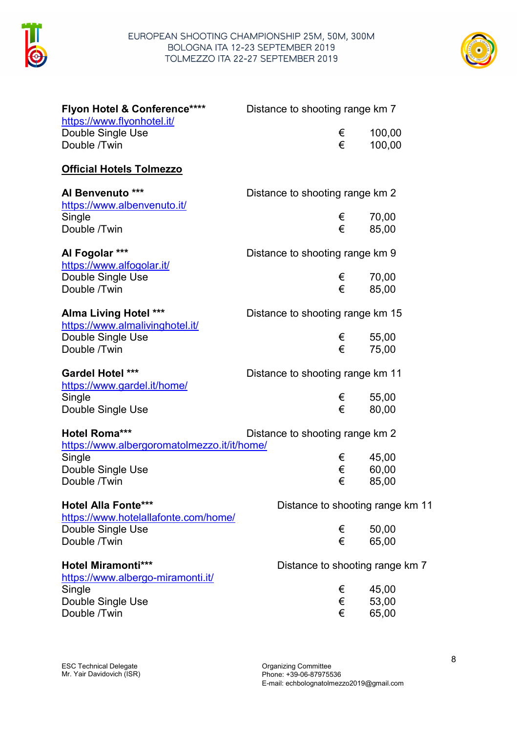



| Flyon Hotel & Conference****<br>https://www.flyonhotel.it/         | Distance to shooting range km 7  |                                  |
|--------------------------------------------------------------------|----------------------------------|----------------------------------|
| Double Single Use                                                  | €                                | 100,00                           |
| Double /Twin                                                       | €                                | 100,00                           |
| <u> Official Hotels Tolmezzo</u>                                   |                                  |                                  |
| Al Benvenuto ***                                                   | Distance to shooting range km 2  |                                  |
| https://www.albenvenuto.it/<br>Single<br>Double /Twin              | €<br>€                           | 70,00<br>85,00                   |
| Al Fogolar ***                                                     | Distance to shooting range km 9  |                                  |
| <u>https://www.alfogolar.it/</u>                                   |                                  |                                  |
| Double Single Use                                                  |                                  | 70,00<br>€                       |
| Double /Twin                                                       | €                                | 85,00                            |
| <b>Alma Living Hotel ***</b><br>https://www.almalivinghotel.it/    | Distance to shooting range km 15 |                                  |
| Double Single Use                                                  |                                  | $\epsilon$<br>55,00              |
| Double /Twin                                                       | €                                | 75,00                            |
| <b>Gardel Hotel ***</b>                                            | Distance to shooting range km 11 |                                  |
| https://www.gardel.it/home/                                        |                                  |                                  |
| Single                                                             | €                                | 55,00<br>€                       |
| Double Single Use                                                  |                                  | 80,00                            |
| Hotel Roma***<br>https://www.albergoromatolmezzo.it/it/home/       | Distance to shooting range km 2  |                                  |
| Single                                                             | €                                | 45,00                            |
| Double Single Use                                                  | €                                | 60,00                            |
| Double /Twin                                                       | €                                | 85,00                            |
| <b>Hotel Alla Fonte***</b><br>https://www.hotelallafonte.com/home/ |                                  | Distance to shooting range km 11 |
| Double Single Use                                                  | €                                | 50,00                            |
| Double /Twin                                                       | €                                | 65,00                            |
| <b>Hotel Miramonti***</b><br>https://www.albergo-miramonti.it/     |                                  | Distance to shooting range km 7  |
| Single                                                             | €                                | 45,00                            |
| Double Single Use                                                  | €                                | 53,00                            |
| Double /Twin                                                       | €                                | 65,00                            |
|                                                                    |                                  |                                  |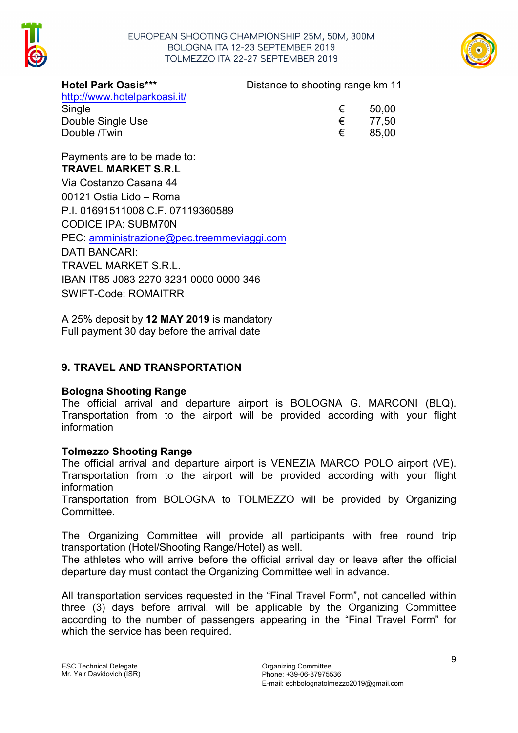

#### EUROPEAN SHOOTING CHAMPIONSHIP 25M, 50M, 300M BOLOGNA ITA 12-23 SEPTEMBER 2019 TOLMEZZO ITA 22-27 SEPTEMBER 2019



http://www.hotelparkoasi.it/

Single  $\epsilon$  50,00 Double Single Use Double /Twin

Hotel Park Oasis\*\*\* Distance to shooting range km 11

| € | 50,00 |
|---|-------|
| € | 77,50 |
| € | 85,00 |

Payments are to be made to: TRAVEL MARKET S.R.L Via Costanzo Casana 44 00121 Ostia Lido – Roma P.I. 01691511008 C.F. 07119360589 CODICE IPA: SUBM70N PEC: amministrazione@pec.treemmeviaggi.com DATI BANCARI: TRAVEL MARKET S.R.L. IBAN IT85 J083 2270 3231 0000 0000 346 SWIFT-Code: ROMAITRR

A 25% deposit by 12 MAY 2019 is mandatory Full payment 30 day before the arrival date

## 9. TRAVEL AND TRANSPORTATION

#### Bologna Shooting Range

The official arrival and departure airport is BOLOGNA G. MARCONI (BLQ). Transportation from to the airport will be provided according with your flight information

#### Tolmezzo Shooting Range

The official arrival and departure airport is VENEZIA MARCO POLO airport (VE). Transportation from to the airport will be provided according with your flight information

Transportation from BOLOGNA to TOLMEZZO will be provided by Organizing Committee.

The Organizing Committee will provide all participants with free round trip transportation (Hotel/Shooting Range/Hotel) as well.

The athletes who will arrive before the official arrival day or leave after the official departure day must contact the Organizing Committee well in advance.

All transportation services requested in the "Final Travel Form", not cancelled within three (3) days before arrival, will be applicable by the Organizing Committee according to the number of passengers appearing in the "Final Travel Form" for which the service has been required.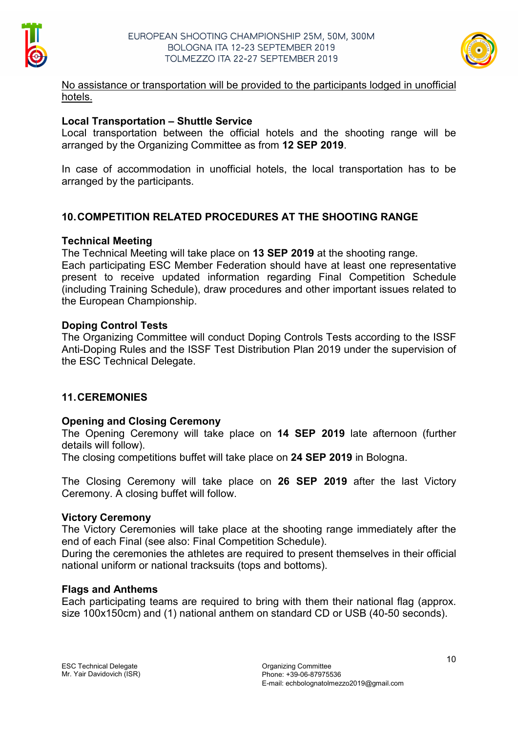



No assistance or transportation will be provided to the participants lodged in unofficial hotels.

#### Local Transportation – Shuttle Service

Local transportation between the official hotels and the shooting range will be arranged by the Organizing Committee as from 12 SEP 2019.

In case of accommodation in unofficial hotels, the local transportation has to be arranged by the participants.

## 10.COMPETITION RELATED PROCEDURES AT THE SHOOTING RANGE

#### Technical Meeting

The Technical Meeting will take place on 13 SEP 2019 at the shooting range.

Each participating ESC Member Federation should have at least one representative present to receive updated information regarding Final Competition Schedule (including Training Schedule), draw procedures and other important issues related to the European Championship.

### Doping Control Tests

The Organizing Committee will conduct Doping Controls Tests according to the ISSF Anti-Doping Rules and the ISSF Test Distribution Plan 2019 under the supervision of the ESC Technical Delegate.

## 11.CEREMONIES

## Opening and Closing Ceremony

The Opening Ceremony will take place on 14 SEP 2019 late afternoon (further details will follow).

The closing competitions buffet will take place on 24 SEP 2019 in Bologna.

The Closing Ceremony will take place on 26 SEP 2019 after the last Victory Ceremony. A closing buffet will follow.

#### Victory Ceremony

The Victory Ceremonies will take place at the shooting range immediately after the end of each Final (see also: Final Competition Schedule).

During the ceremonies the athletes are required to present themselves in their official national uniform or national tracksuits (tops and bottoms).

#### Flags and Anthems

Each participating teams are required to bring with them their national flag (approx. size 100x150cm) and (1) national anthem on standard CD or USB (40-50 seconds).